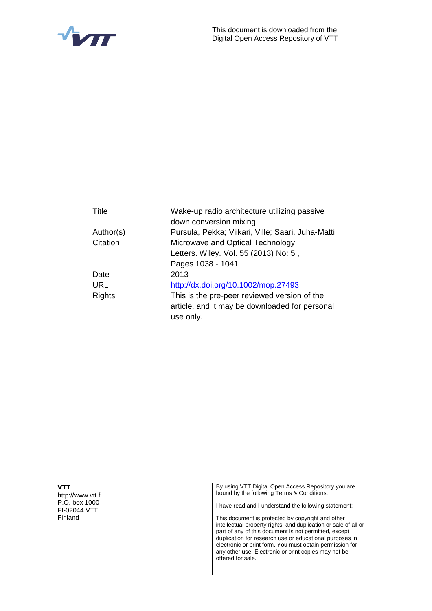

| Title         | Wake-up radio architecture utilizing passive      |
|---------------|---------------------------------------------------|
|               | down conversion mixing                            |
| Author(s)     | Pursula, Pekka; Viikari, Ville; Saari, Juha-Matti |
| Citation      | Microwave and Optical Technology                  |
|               | Letters. Wiley. Vol. 55 (2013) No: 5,             |
|               | Pages 1038 - 1041                                 |
| Date          | 2013                                              |
| <b>URL</b>    | http://dx.doi.org/10.1002/mop.27493               |
| <b>Rights</b> | This is the pre-peer reviewed version of the      |
|               | article, and it may be downloaded for personal    |
|               | use only.                                         |

| <b>VTT</b><br>http://www.ytt.fi<br>P.O. box 1000<br>FI-02044 VTT<br>Finland | By using VTT Digital Open Access Repository you are<br>bound by the following Terms & Conditions.<br>I have read and I understand the following statement:<br>This document is protected by copyright and other<br>intellectual property rights, and duplication or sale of all or<br>part of any of this document is not permitted, except<br>duplication for research use or educational purposes in |
|-----------------------------------------------------------------------------|--------------------------------------------------------------------------------------------------------------------------------------------------------------------------------------------------------------------------------------------------------------------------------------------------------------------------------------------------------------------------------------------------------|
|                                                                             | electronic or print form. You must obtain permission for<br>any other use. Electronic or print copies may not be<br>offered for sale.                                                                                                                                                                                                                                                                  |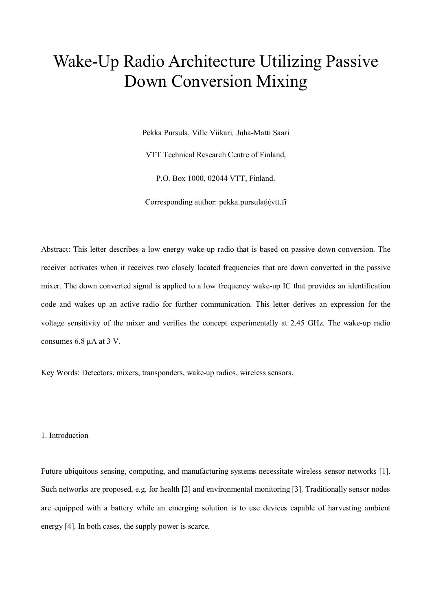# Wake-Up Radio Architecture Utilizing Passive Down Conversion Mixing

Pekka Pursula, Ville Viikari*,* Juha-Matti Saari

VTT Technical Research Centre of Finland,

P.O. Box 1000, 02044 VTT, Finland.

Corresponding author: pekka.pursula@vtt.fi

Abstract: This letter describes a low energy wake-up radio that is based on passive down conversion. The receiver activates when it receives two closely located frequencies that are down converted in the passive mixer. The down converted signal is applied to a low frequency wake-up IC that provides an identification code and wakes up an active radio for further communication. This letter derives an expression for the voltage sensitivity of the mixer and verifies the concept experimentally at 2.45 GHz. The wake-up radio consumes 6.8 µA at 3 V.

Key Words: Detectors, mixers, transponders, wake-up radios, wireless sensors.

#### 1. Introduction

Future ubiquitous sensing, computing, and manufacturing systems necessitate wireless sensor networks [1]. Such networks are proposed, e.g. for health [2] and environmental monitoring [3]. Traditionally sensor nodes are equipped with a battery while an emerging solution is to use devices capable of harvesting ambient energy [4]. In both cases, the supply power is scarce.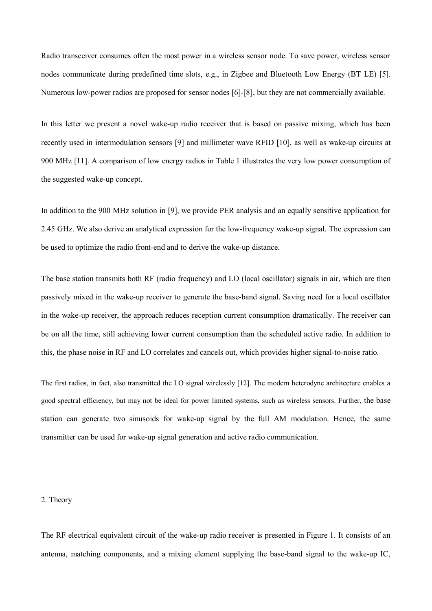Radio transceiver consumes often the most power in a wireless sensor node. To save power, wireless sensor nodes communicate during predefined time slots, e.g., in Zigbee and Bluetooth Low Energy (BT LE) [5]. Numerous low-power radios are proposed for sensor nodes [6]-[8], but they are not commercially available.

In this letter we present a novel wake-up radio receiver that is based on passive mixing, which has been recently used in intermodulation sensors [9] and millimeter wave RFID [10], as well as wake-up circuits at 900 MHz [11]. A comparison of low energy radios in Table 1 illustrates the very low power consumption of the suggested wake-up concept.

In addition to the 900 MHz solution in [9], we provide PER analysis and an equally sensitive application for 2.45 GHz. We also derive an analytical expression for the low-frequency wake-up signal. The expression can be used to optimize the radio front-end and to derive the wake-up distance.

The base station transmits both RF (radio frequency) and LO (local oscillator) signals in air, which are then passively mixed in the wake-up receiver to generate the base-band signal. Saving need for a local oscillator in the wake-up receiver, the approach reduces reception current consumption dramatically. The receiver can be on all the time, still achieving lower current consumption than the scheduled active radio. In addition to this, the phase noise in RF and LO correlates and cancels out, which provides higher signal-to-noise ratio.

The first radios, in fact, also transmitted the LO signal wirelessly [12]. The modern heterodyne architecture enables a good spectral efficiency, but may not be ideal for power limited systems, such as wireless sensors. Further, the base station can generate two sinusoids for wake-up signal by the full AM modulation. Hence, the same transmitter can be used for wake-up signal generation and active radio communication.

#### 2. Theory

The RF electrical equivalent circuit of the wake-up radio receiver is presented in Figure 1. It consists of an antenna, matching components, and a mixing element supplying the base-band signal to the wake-up IC,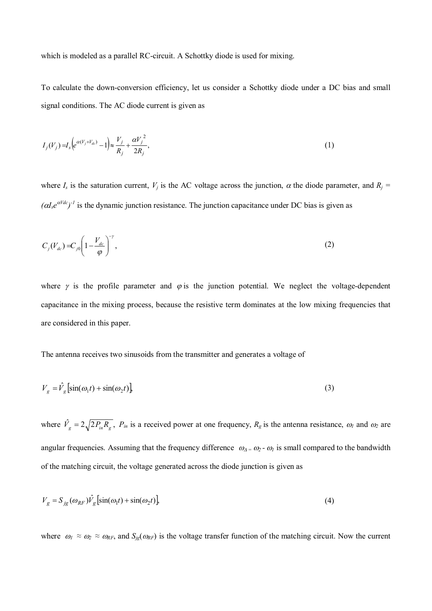which is modeled as a parallel RC-circuit. A Schottky diode is used for mixing.

To calculate the down-conversion efficiency, let us consider a Schottky diode under a DC bias and small signal conditions. The AC diode current is given as

$$
I_j(V_j) = I_s \left( e^{\alpha(V_j + V_{dc})} - 1 \right) \approx \frac{V_j}{R_j} + \frac{\alpha V_j^2}{2R_j},\tag{1}
$$

where  $I_s$  is the saturation current,  $V_j$  is the AC voltage across the junction,  $\alpha$  the diode parameter, and  $R_j =$  $(\alpha J_s e^{\alpha V d c})^{-1}$  is the dynamic junction resistance. The junction capacitance under DC bias is given as

$$
C_j(V_{dc}) = C_{j0} \left(1 - \frac{V_{dc}}{\varphi}\right)^{-\gamma},\tag{2}
$$

where  $\gamma$  is the profile parameter and  $\varphi$  is the junction potential. We neglect the voltage-dependent capacitance in the mixing process, because the resistive term dominates at the low mixing frequencies that are considered in this paper.

The antenna receives two sinusoids from the transmitter and generates a voltage of

$$
V_g = \hat{V}_g \left[ \sin(\omega_1 t) + \sin(\omega_2 t) \right] \tag{3}
$$

where  $\hat{V}_g = 2\sqrt{2P_{in}R_g}$ ,  $P_{in}$  is a received power at one frequency,  $R_g$  is the antenna resistance,  $\omega_l$  and  $\omega_2$  are angular frequencies. Assuming that the frequency difference  $\omega_{\Delta} = \omega_2 - \omega_1$  is small compared to the bandwidth of the matching circuit, the voltage generated across the diode junction is given as

$$
V_g = S_{jg}(\omega_{RF})\hat{V}_g[\sin(\omega_1 t) + \sin(\omega_2 t)],
$$
\n(4)

where  $\omega_1 \approx \omega_2 \approx \omega_{RF}$ , and  $S_{jg}(\omega_{RF})$  is the voltage transfer function of the matching circuit. Now the current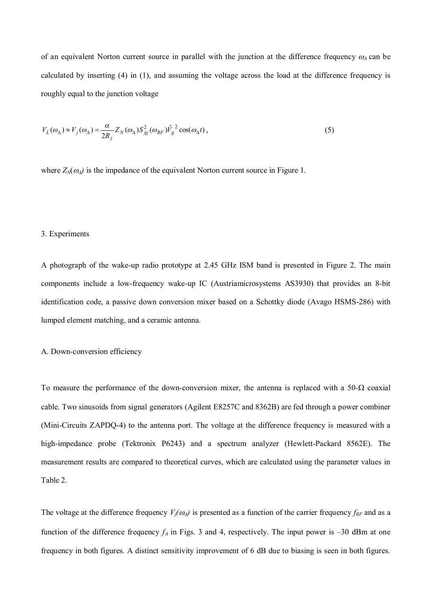of an equivalent Norton current source in parallel with the junction at the difference frequency  $\omega_{\Delta}$  can be calculated by inserting (4) in (1), and assuming the voltage across the load at the difference frequency is roughly equal to the junction voltage

$$
V_L(\omega_\Delta) \approx V_j(\omega_\Delta) = \frac{\alpha}{2R_j} Z_N(\omega_\Delta) S_{jg}^2(\omega_{RF}) \hat{V}_g^2 \cos(\omega_\Delta t), \qquad (5)
$$

where  $Z_N(\omega_\lambda)$  is the impedance of the equivalent Norton current source in Figure 1.

### 3. Experiments

A photograph of the wake-up radio prototype at 2.45 GHz ISM band is presented in Figure 2. The main components include a low-frequency wake-up IC (Austriamicrosystems AS3930) that provides an 8-bit identification code, a passive down conversion mixer based on a Schottky diode (Avago HSMS-286) with lumped element matching, and a ceramic antenna.

#### A. Down-conversion efficiency

To measure the performance of the down-conversion mixer, the antenna is replaced with a  $50-\Omega$  coaxial cable. Two sinusoids from signal generators (Agilent E8257C and 8362B) are fed through a power combiner (Mini-Circuits ZAPDQ-4) to the antenna port. The voltage at the difference frequency is measured with a high-impedance probe (Tektronix P6243) and a spectrum analyzer (Hewlett-Packard 8562E). The measurement results are compared to theoretical curves, which are calculated using the parameter values in Table 2.

The voltage at the difference frequency  $V_i(\omega_A)$  is presented as a function of the carrier frequency  $f_{RF}$  and as a function of the difference frequency  $f_A$  in Figs. 3 and 4, respectively. The input power is  $-30$  dBm at one frequency in both figures. A distinct sensitivity improvement of 6 dB due to biasing is seen in both figures.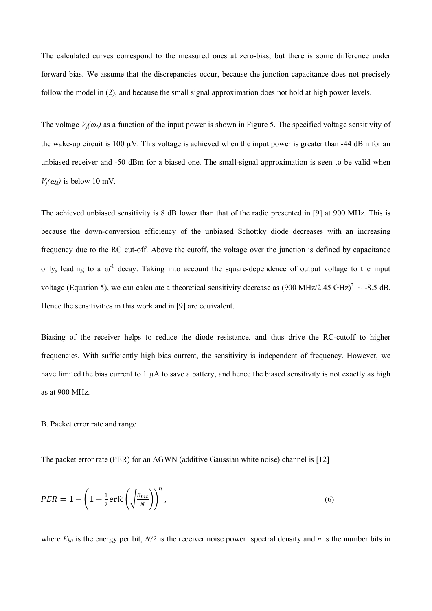The calculated curves correspond to the measured ones at zero-bias, but there is some difference under forward bias. We assume that the discrepancies occur, because the junction capacitance does not precisely follow the model in (2), and because the small signal approximation does not hold at high power levels.

The voltage  $V_i(\omega)$  as a function of the input power is shown in Figure 5. The specified voltage sensitivity of the wake-up circuit is 100  $\mu$ V. This voltage is achieved when the input power is greater than -44 dBm for an unbiased receiver and -50 dBm for a biased one. The small-signal approximation is seen to be valid when  $V_i(\omega)$  is below 10 mV.

The achieved unbiased sensitivity is 8 dB lower than that of the radio presented in [9] at 900 MHz. This is because the down-conversion efficiency of the unbiased Schottky diode decreases with an increasing frequency due to the RC cut-off. Above the cutoff, the voltage over the junction is defined by capacitance only, leading to a  $\omega^{-1}$  decay. Taking into account the square-dependence of output voltage to the input voltage (Equation 5), we can calculate a theoretical sensitivity decrease as  $(900 \text{ MHz}/2.45 \text{ GHz})^2 \sim -8.5 \text{ dB}$ . Hence the sensitivities in this work and in [9] are equivalent.

Biasing of the receiver helps to reduce the diode resistance, and thus drive the RC-cutoff to higher frequencies. With sufficiently high bias current, the sensitivity is independent of frequency. However, we have limited the bias current to  $1 \mu A$  to save a battery, and hence the biased sensitivity is not exactly as high as at 900 MHz.

#### B. Packet error rate and range

The packet error rate (PER) for an AGWN (additive Gaussian white noise) channel is [12]

$$
PER = 1 - \left(1 - \frac{1}{2}\operatorname{erfc}\left(\sqrt{\frac{E_{bit}}{N}}\right)\right)^n,\tag{6}
$$

where  $E_{bit}$  is the energy per bit,  $N/2$  is the receiver noise power spectral density and *n* is the number bits in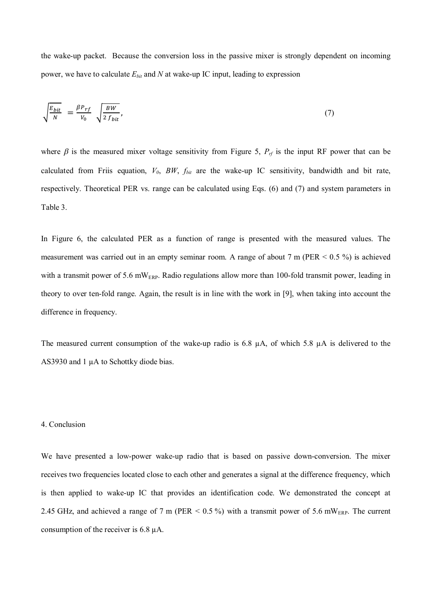the wake-up packet. Because the conversion loss in the passive mixer is strongly dependent on incoming power, we have to calculate  $E_{bit}$  and  $N$  at wake-up IC input, leading to expression

$$
\sqrt{\frac{E_{bit}}{N}} = \frac{\beta P_{rf}}{V_0} \sqrt{\frac{BW}{2 f_{bit}}},\tag{7}
$$

where  $\beta$  is the measured mixer voltage sensitivity from Figure 5,  $P_{rf}$  is the input RF power that can be calculated from Friis equation, *V0*, *BW*, *fbit* are the wake-up IC sensitivity, bandwidth and bit rate, respectively. Theoretical PER vs. range can be calculated using Eqs. (6) and (7) and system parameters in Table 3.

In Figure 6, the calculated PER as a function of range is presented with the measured values. The measurement was carried out in an empty seminar room. A range of about 7 m (PER  $\leq$  0.5 %) is achieved with a transmit power of 5.6 mW<sub>ERP</sub>. Radio regulations allow more than 100-fold transmit power, leading in theory to over ten-fold range. Again, the result is in line with the work in [9], when taking into account the difference in frequency.

The measured current consumption of the wake-up radio is 6.8  $\mu$ A, of which 5.8  $\mu$ A is delivered to the AS3930 and 1 µA to Schottky diode bias.

#### 4. Conclusion

We have presented a low-power wake-up radio that is based on passive down-conversion. The mixer receives two frequencies located close to each other and generates a signal at the difference frequency, which is then applied to wake-up IC that provides an identification code. We demonstrated the concept at 2.45 GHz, and achieved a range of 7 m (PER <  $0.5\%$ ) with a transmit power of 5.6 mW<sub>ERP</sub>. The current consumption of the receiver is 6.8 µA.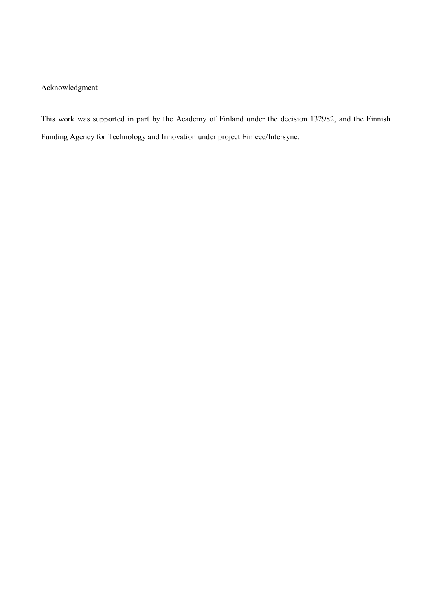## Acknowledgment

This work was supported in part by the Academy of Finland under the decision 132982, and the Finnish Funding Agency for Technology and Innovation under project Fimecc/Intersync.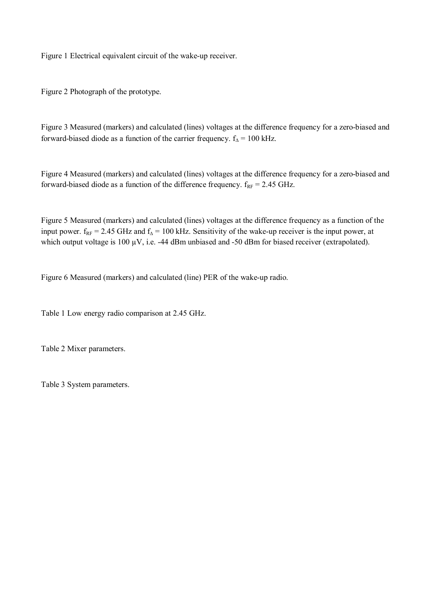Figure 1 Electrical equivalent circuit of the wake-up receiver.

Figure 2 Photograph of the prototype.

Figure 3 Measured (markers) and calculated (lines) voltages at the difference frequency for a zero-biased and forward-biased diode as a function of the carrier frequency.  $f_{\Delta} = 100$  kHz.

Figure 4 Measured (markers) and calculated (lines) voltages at the difference frequency for a zero-biased and forward-biased diode as a function of the difference frequency.  $f_{RF} = 2.45 \text{ GHz.}$ 

Figure 5 Measured (markers) and calculated (lines) voltages at the difference frequency as a function of the input power.  $f_{RF}$  = 2.45 GHz and  $f_{\Delta}$  = 100 kHz. Sensitivity of the wake-up receiver is the input power, at which output voltage is 100  $\mu$ V, i.e. -44 dBm unbiased and -50 dBm for biased receiver (extrapolated).

Figure 6 Measured (markers) and calculated (line) PER of the wake-up radio.

Table 1 Low energy radio comparison at 2.45 GHz.

Table 2 Mixer parameters.

Table 3 System parameters.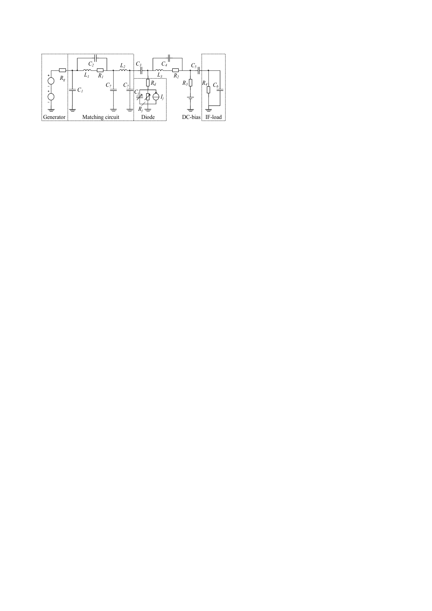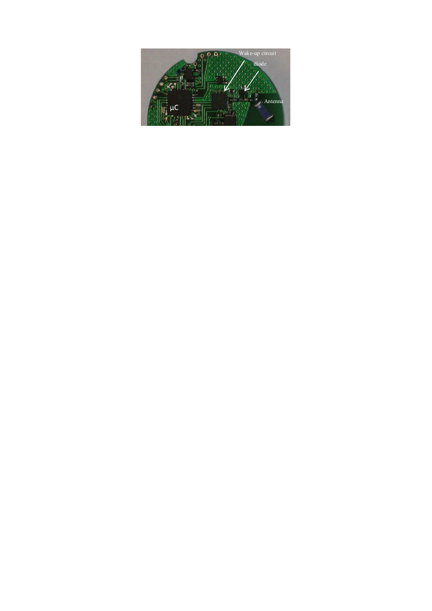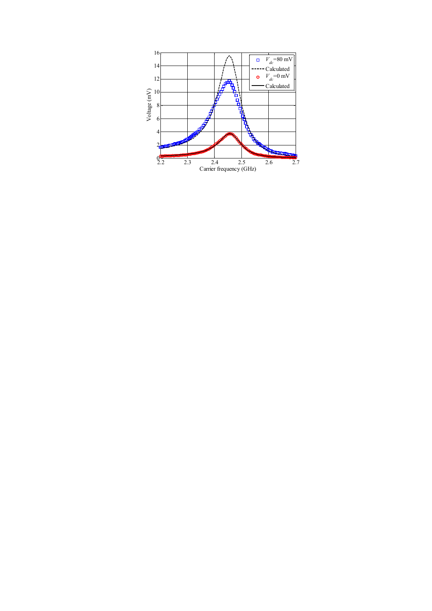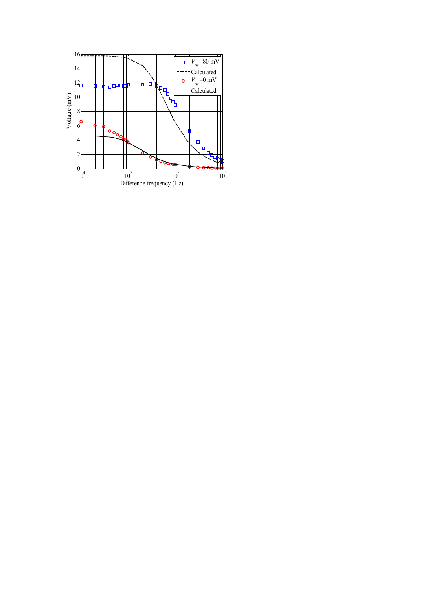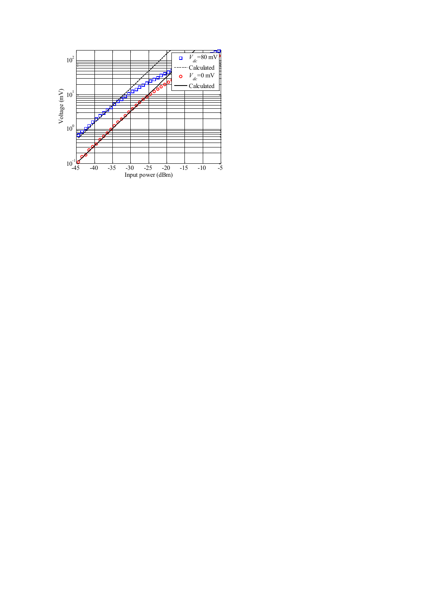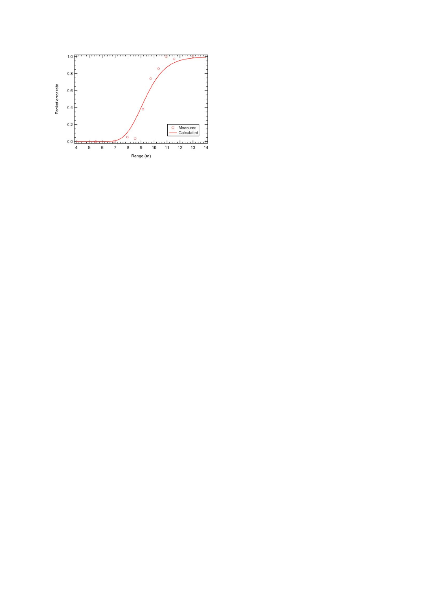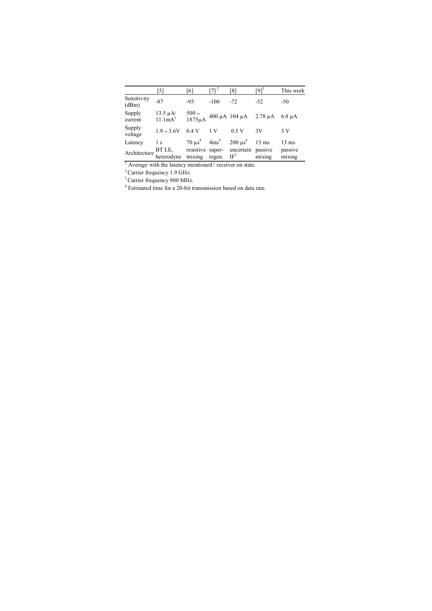|                                                                      | $\lceil 5 \rceil$                    | [6]                  | [7] <sup>2</sup> | [8]                                | [ $9$ ] <sup>3</sup> | This work         |
|----------------------------------------------------------------------|--------------------------------------|----------------------|------------------|------------------------------------|----------------------|-------------------|
| Sensitivity<br>(dBm)                                                 | $-87$                                | $-9.5$               | $-100$           | $-72$                              | $-52$                | $-50$             |
| Supply<br>current                                                    | $13.5 \mu A/$<br>11.1mA <sup>1</sup> | $500 -$<br>1875µA    |                  | $400 \mu A$ 104 μA 2.78 μA         |                      | $6.8 \mu A$       |
| Supply<br>voltage                                                    | $1.9 - 3.6V$                         | 0.4V                 | 1 V              | 0.5V                               | 3V                   | 3V                |
| Latency                                                              | 1 <sub>s</sub>                       | $70 \mu s^4$ $4ms^4$ |                  | $200 \mu s^4$                      | $13 \text{ ms}$      | $13 \text{ ms}$   |
| Architecture                                                         | BT LE,<br>heterodyne mixing          |                      | regen. $IF2$     | resistive super- uncertain passive | mixing               | passive<br>mixing |
| <sup>1</sup> Average with the latency mentioned / receiver on state. |                                      |                      |                  |                                    |                      |                   |

<sup>2</sup> Carrier frequency 1.9 GHz.

 $3$  Carrier frequency 900 MHz.<br> $4$  Estimated time for a 20-bit transmission based on data rate.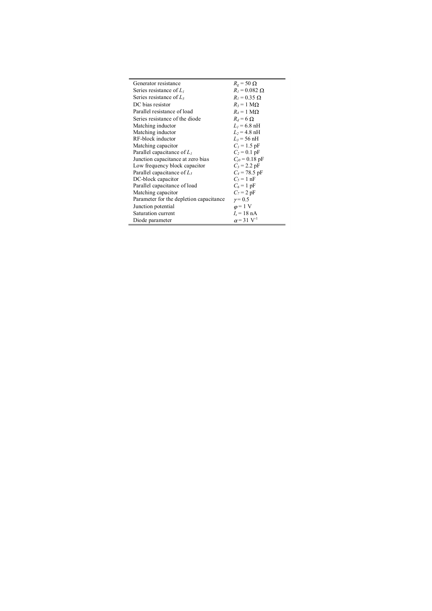| Generator resistance                    | $R_e = 50 \Omega$             |
|-----------------------------------------|-------------------------------|
| Series resistance of $L_1$              | $R_1 = 0.082 \Omega$          |
| Series resistance of $L_3$              | $R_1 = 0.35 \Omega$           |
| DC bias resistor                        | $R_3 = 1 \text{ M}\Omega$     |
| Parallel resistance of load             | $R_4 = 1 \text{ M}\Omega$     |
| Series resistance of the diode          | $R_d = 6 \Omega$              |
| Matching inductor                       | $L_1$ = 6.8 nH                |
| Matching inductor                       | $L_2 = 4.8$ nH                |
| RF-block inductor                       | $L_3$ = 56 nH                 |
| Matching capacitor                      | $C_1 = 1.5$ pF                |
| Parallel capacitance of $L_1$           | $C_2$ = 0.1 pF                |
| Junction capacitance at zero bias       | $C_{i0} = 0.18 \text{ pF}$    |
| Low frequency block capacitor           | $C_3$ = 2.2 pF                |
| Parallel capacitance of $L_3$           | $C_4$ = 78.5 pF               |
| DC-block capacitor                      | $C_5 = 1$ nF                  |
| Parallel capacitance of load            | $C_6 = 1$ pF                  |
| Matching capacitor                      | $C_7 = 2 pF$                  |
| Parameter for the depletion capacitance | $\gamma = 0.5$                |
| Junction potential                      | $\varphi = 1$ V               |
| Saturation current                      | $I_s = 18 \text{ nA}$         |
| Diode parameter                         | $\alpha$ = 31 V <sup>-1</sup> |